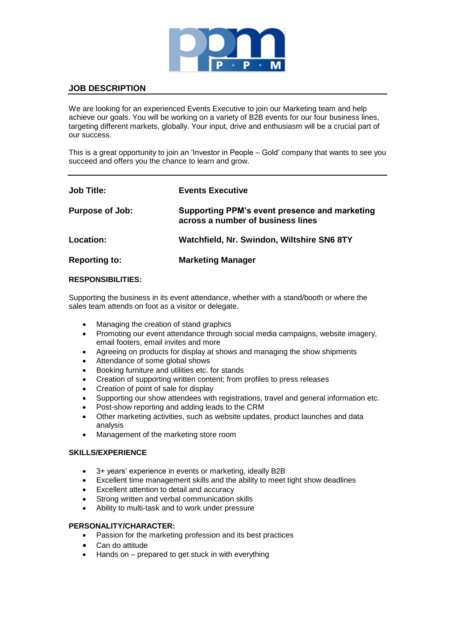

# **JOB DESCRIPTION**

We are looking for an experienced Events Executive to join our Marketing team and help achieve our goals. You will be working on a variety of B2B events for our four business lines, targeting different markets, globally. Your input, drive and enthusiasm will be a crucial part of our success.

This is a great opportunity to join an 'Investor in People – Gold' company that wants to see you succeed and offers you the chance to learn and grow.

| <b>Job Title:</b>      | <b>Events Executive</b>                                                            |
|------------------------|------------------------------------------------------------------------------------|
| <b>Purpose of Job:</b> | Supporting PPM's event presence and marketing<br>across a number of business lines |
| Location:              | Watchfield, Nr. Swindon, Wiltshire SN6 8TY                                         |
| <b>Reporting to:</b>   | <b>Marketing Manager</b>                                                           |

# **RESPONSIBILITIES:**

Supporting the business in its event attendance, whether with a stand/booth or where the sales team attends on foot as a visitor or delegate.

- Managing the creation of stand graphics
- Promoting our event attendance through social media campaigns, website imagery, email footers, email invites and more
- Agreeing on products for display at shows and managing the show shipments
- Attendance of some global shows
- Booking furniture and utilities etc. for stands
- Creation of supporting written content; from profiles to press releases
- Creation of point of sale for display
- Supporting our show attendees with registrations, travel and general information etc.
- Post-show reporting and adding leads to the CRM
- Other marketing activities, such as website updates, product launches and data analysis
- Management of the marketing store room

# **SKILLS/EXPERIENCE**

- 
- 3+ years' experience in events or marketing, ideally B2B<br>• Excellent time management skills and the ability to meet Excellent time management skills and the ability to meet tight show deadlines
- Excellent attention to detail and accuracy
- Strong written and verbal communication skills
- Ability to multi-task and to work under pressure

#### **PERSONALITY/CHARACTER:**

- Passion for the marketing profession and its best practices
- Can do attitude
- Hands on prepared to get stuck in with everything